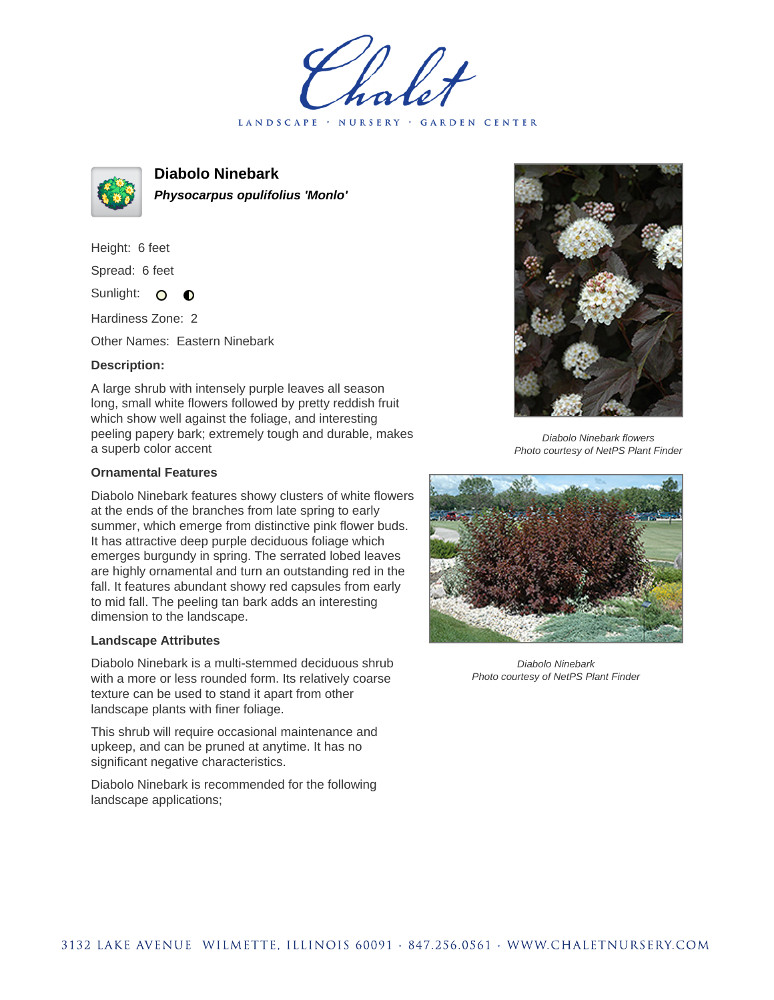LANDSCAPE · NURSERY · GARDEN CENTER



**Diabolo Ninebark Physocarpus opulifolius 'Monlo'**

Height: 6 feet Spread: 6 feet Sunlight: O  $\bullet$ 

Hardiness Zone: 2

Other Names: Eastern Ninebark

## **Description:**

A large shrub with intensely purple leaves all season long, small white flowers followed by pretty reddish fruit which show well against the foliage, and interesting peeling papery bark; extremely tough and durable, makes a superb color accent

## **Ornamental Features**

Diabolo Ninebark features showy clusters of white flowers at the ends of the branches from late spring to early summer, which emerge from distinctive pink flower buds. It has attractive deep purple deciduous foliage which emerges burgundy in spring. The serrated lobed leaves are highly ornamental and turn an outstanding red in the fall. It features abundant showy red capsules from early to mid fall. The peeling tan bark adds an interesting dimension to the landscape.

## **Landscape Attributes**

Diabolo Ninebark is a multi-stemmed deciduous shrub with a more or less rounded form. Its relatively coarse texture can be used to stand it apart from other landscape plants with finer foliage.

This shrub will require occasional maintenance and upkeep, and can be pruned at anytime. It has no significant negative characteristics.

Diabolo Ninebark is recommended for the following landscape applications;



Diabolo Ninebark flowers Photo courtesy of NetPS Plant Finder



Diabolo Ninebark Photo courtesy of NetPS Plant Finder